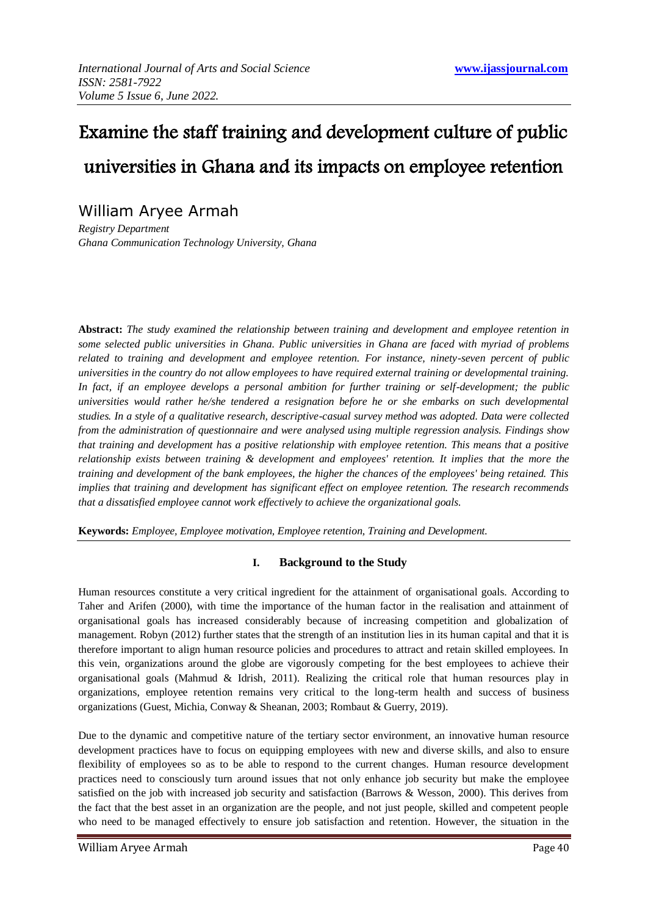# Examine the staff training and development culture of public universities in Ghana and its impacts on employee retention

# William Aryee Armah

*Registry Department Ghana Communication Technology University, Ghana*

**Abstract:** *The study examined the relationship between training and development and employee retention in some selected public universities in Ghana. Public universities in Ghana are faced with myriad of problems related to training and development and employee retention. For instance, ninety-seven percent of public universities in the country do not allow employees to have required external training or developmental training. In fact, if an employee develops a personal ambition for further training or self-development; the public universities would rather he/she tendered a resignation before he or she embarks on such developmental studies. In a style of a qualitative research, descriptive-casual survey method was adopted. Data were collected from the administration of questionnaire and were analysed using multiple regression analysis. Findings show that training and development has a positive relationship with employee retention. This means that a positive relationship exists between training & development and employees' retention. It implies that the more the training and development of the bank employees, the higher the chances of the employees' being retained. This implies that training and development has significant effect on employee retention. The research recommends that a dissatisfied employee cannot work effectively to achieve the organizational goals.* 

**Keywords:** *Employee, Employee motivation, Employee retention, Training and Development.*

# **I. Background to the Study**

Human resources constitute a very critical ingredient for the attainment of organisational goals. According to Taher and Arifen (2000), with time the importance of the human factor in the realisation and attainment of organisational goals has increased considerably because of increasing competition and globalization of management. Robyn (2012) further states that the strength of an institution lies in its human capital and that it is therefore important to align human resource policies and procedures to attract and retain skilled employees. In this vein, organizations around the globe are vigorously competing for the best employees to achieve their organisational goals (Mahmud  $\&$  Idrish, 2011). Realizing the critical role that human resources play in organizations, employee retention remains very critical to the long-term health and success of business organizations (Guest, Michia, Conway & Sheanan, 2003; Rombaut & Guerry, 2019).

Due to the dynamic and competitive nature of the tertiary sector environment, an innovative human resource development practices have to focus on equipping employees with new and diverse skills, and also to ensure flexibility of employees so as to be able to respond to the current changes. Human resource development practices need to consciously turn around issues that not only enhance job security but make the employee satisfied on the job with increased job security and satisfaction (Barrows & Wesson, 2000). This derives from the fact that the best asset in an organization are the people, and not just people, skilled and competent people who need to be managed effectively to ensure job satisfaction and retention. However, the situation in the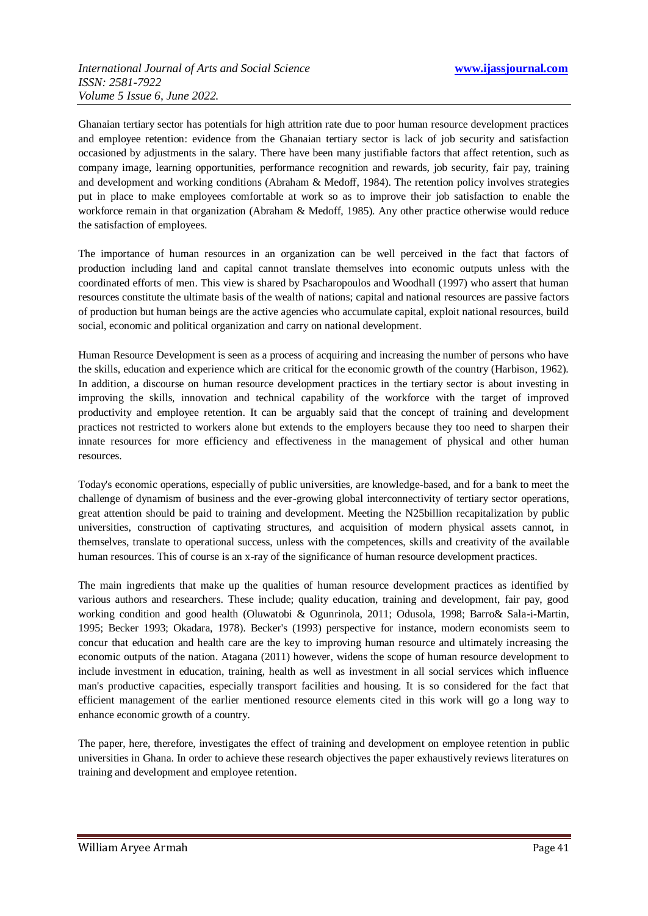Ghanaian tertiary sector has potentials for high attrition rate due to poor human resource development practices and employee retention: evidence from the Ghanaian tertiary sector is lack of job security and satisfaction occasioned by adjustments in the salary. There have been many justifiable factors that affect retention, such as company image, learning opportunities, performance recognition and rewards, job security, fair pay, training and development and working conditions (Abraham & Medoff, 1984). The retention policy involves strategies put in place to make employees comfortable at work so as to improve their job satisfaction to enable the workforce remain in that organization (Abraham & Medoff, 1985). Any other practice otherwise would reduce the satisfaction of employees.

The importance of human resources in an organization can be well perceived in the fact that factors of production including land and capital cannot translate themselves into economic outputs unless with the coordinated efforts of men. This view is shared by Psacharopoulos and Woodhall (1997) who assert that human resources constitute the ultimate basis of the wealth of nations; capital and national resources are passive factors of production but human beings are the active agencies who accumulate capital, exploit national resources, build social, economic and political organization and carry on national development.

Human Resource Development is seen as a process of acquiring and increasing the number of persons who have the skills, education and experience which are critical for the economic growth of the country (Harbison, 1962). In addition, a discourse on human resource development practices in the tertiary sector is about investing in improving the skills, innovation and technical capability of the workforce with the target of improved productivity and employee retention. It can be arguably said that the concept of training and development practices not restricted to workers alone but extends to the employers because they too need to sharpen their innate resources for more efficiency and effectiveness in the management of physical and other human resources.

Today's economic operations, especially of public universities, are knowledge-based, and for a bank to meet the challenge of dynamism of business and the ever-growing global interconnectivity of tertiary sector operations, great attention should be paid to training and development. Meeting the N25billion recapitalization by public universities, construction of captivating structures, and acquisition of modern physical assets cannot, in themselves, translate to operational success, unless with the competences, skills and creativity of the available human resources. This of course is an x-ray of the significance of human resource development practices.

The main ingredients that make up the qualities of human resource development practices as identified by various authors and researchers. These include; quality education, training and development, fair pay, good working condition and good health (Oluwatobi & Ogunrinola, 2011; Odusola, 1998; Barro& Sala-i-Martin, 1995; Becker 1993; Okadara, 1978). Becker's (1993) perspective for instance, modern economists seem to concur that education and health care are the key to improving human resource and ultimately increasing the economic outputs of the nation. Atagana (2011) however, widens the scope of human resource development to include investment in education, training, health as well as investment in all social services which influence man's productive capacities, especially transport facilities and housing. It is so considered for the fact that efficient management of the earlier mentioned resource elements cited in this work will go a long way to enhance economic growth of a country.

The paper, here, therefore, investigates the effect of training and development on employee retention in public universities in Ghana. In order to achieve these research objectives the paper exhaustively reviews literatures on training and development and employee retention.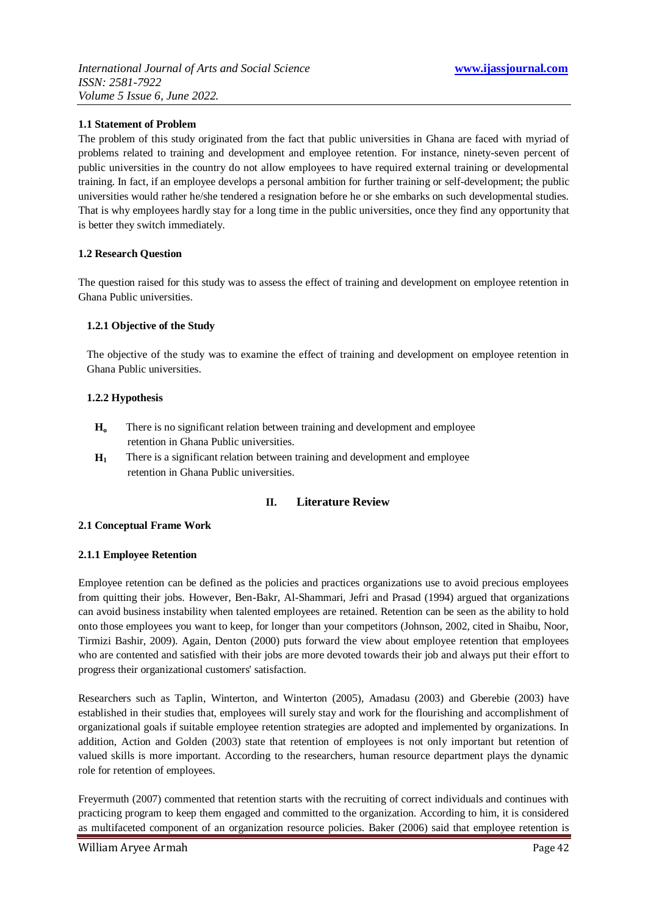# **1.1 Statement of Problem**

The problem of this study originated from the fact that public universities in Ghana are faced with myriad of problems related to training and development and employee retention. For instance, ninety-seven percent of public universities in the country do not allow employees to have required external training or developmental training. In fact, if an employee develops a personal ambition for further training or self-development; the public universities would rather he/she tendered a resignation before he or she embarks on such developmental studies. That is why employees hardly stay for a long time in the public universities, once they find any opportunity that is better they switch immediately.

# **1.2 Research Question**

The question raised for this study was to assess the effect of training and development on employee retention in Ghana Public universities.

#### **1.2.1 Objective of the Study**

The objective of the study was to examine the effect of training and development on employee retention in Ghana Public universities.

#### **1.2.2 Hypothesis**

- **H<sup>o</sup>** There is no significant relation between training and development and employee retention in Ghana Public universities.
- $H_1$ There is a significant relation between training and development and employee retention in Ghana Public universities.

# **II. Literature Review**

# **2.1 Conceptual Frame Work**

#### **2.1.1 Employee Retention**

Employee retention can be defined as the policies and practices organizations use to avoid precious employees from quitting their jobs. However, Ben-Bakr, Al-Shammari, Jefri and Prasad (1994) argued that organizations can avoid business instability when talented employees are retained. Retention can be seen as the ability to hold onto those employees you want to keep, for longer than your competitors (Johnson, 2002, cited in Shaibu, Noor, Tirmizi Bashir, 2009). Again, Denton (2000) puts forward the view about employee retention that employees who are contented and satisfied with their jobs are more devoted towards their job and always put their effort to progress their organizational customers' satisfaction.

Researchers such as Taplin, Winterton, and Winterton (2005), Amadasu (2003) and Gberebie (2003) have established in their studies that, employees will surely stay and work for the flourishing and accomplishment of organizational goals if suitable employee retention strategies are adopted and implemented by organizations. In addition, Action and Golden (2003) state that retention of employees is not only important but retention of valued skills is more important. According to the researchers, human resource department plays the dynamic role for retention of employees.

Freyermuth (2007) commented that retention starts with the recruiting of correct individuals and continues with practicing program to keep them engaged and committed to the organization. According to him, it is considered as multifaceted component of an organization resource policies. Baker (2006) said that employee retention is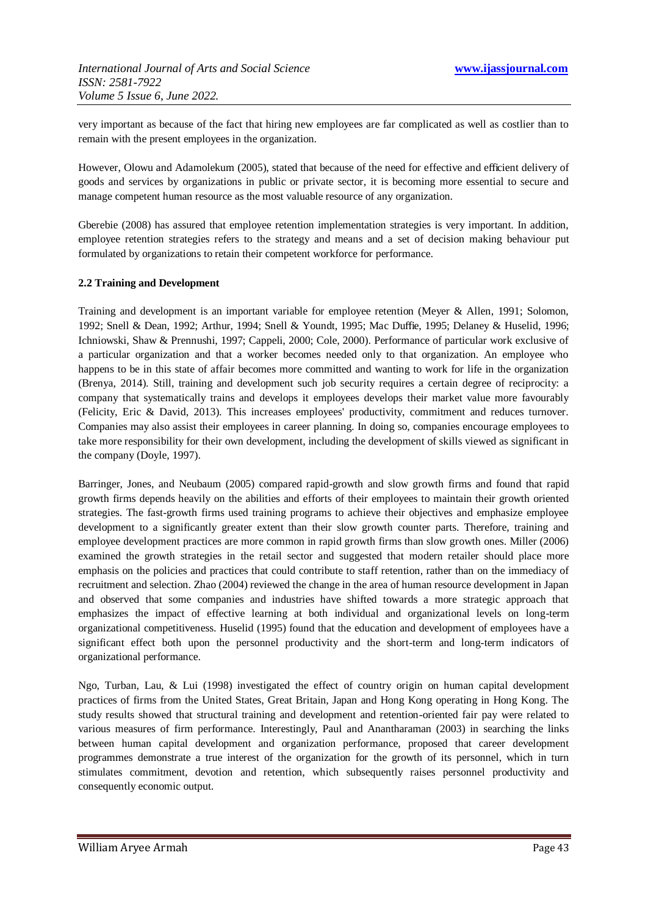very important as because of the fact that hiring new employees are far complicated as well as costlier than to remain with the present employees in the organization.

However, Olowu and Adamolekum (2005), stated that because of the need for effective and efficient delivery of goods and services by organizations in public or private sector, it is becoming more essential to secure and manage competent human resource as the most valuable resource of any organization.

Gberebie (2008) has assured that employee retention implementation strategies is very important. In addition, employee retention strategies refers to the strategy and means and a set of decision making behaviour put formulated by organizations to retain their competent workforce for performance.

#### **2.2 Training and Development**

Training and development is an important variable for employee retention (Meyer & Allen, 1991; Solomon, 1992; Snell & Dean, 1992; Arthur, 1994; Snell & Youndt, 1995; Mac Duffie, 1995; Delaney & Huselid, 1996; Ichniowski, Shaw & Prennushi, 1997; Cappeli, 2000; Cole, 2000). Performance of particular work exclusive of a particular organization and that a worker becomes needed only to that organization. An employee who happens to be in this state of affair becomes more committed and wanting to work for life in the organization (Brenya, 2014). Still, training and development such job security requires a certain degree of reciprocity: a company that systematically trains and develops it employees develops their market value more favourably (Felicity, Eric & David, 2013). This increases employees' productivity, commitment and reduces turnover. Companies may also assist their employees in career planning. In doing so, companies encourage employees to take more responsibility for their own development, including the development of skills viewed as significant in the company (Doyle, 1997).

Barringer, Jones, and Neubaum (2005) compared rapid-growth and slow growth firms and found that rapid growth firms depends heavily on the abilities and efforts of their employees to maintain their growth oriented strategies. The fast-growth firms used training programs to achieve their objectives and emphasize employee development to a significantly greater extent than their slow growth counter parts. Therefore, training and employee development practices are more common in rapid growth firms than slow growth ones. Miller (2006) examined the growth strategies in the retail sector and suggested that modern retailer should place more emphasis on the policies and practices that could contribute to staff retention, rather than on the immediacy of recruitment and selection. Zhao (2004) reviewed the change in the area of human resource development in Japan and observed that some companies and industries have shifted towards a more strategic approach that emphasizes the impact of effective learning at both individual and organizational levels on long-term organizational competitiveness. Huselid (1995) found that the education and development of employees have a significant effect both upon the personnel productivity and the short-term and long-term indicators of organizational performance.

Ngo, Turban, Lau, & Lui (1998) investigated the effect of country origin on human capital development practices of firms from the United States, Great Britain, Japan and Hong Kong operating in Hong Kong. The study results showed that structural training and development and retention-oriented fair pay were related to various measures of firm performance. Interestingly, Paul and Anantharaman (2003) in searching the links between human capital development and organization performance, proposed that career development programmes demonstrate a true interest of the organization for the growth of its personnel, which in turn stimulates commitment, devotion and retention, which subsequently raises personnel productivity and consequently economic output.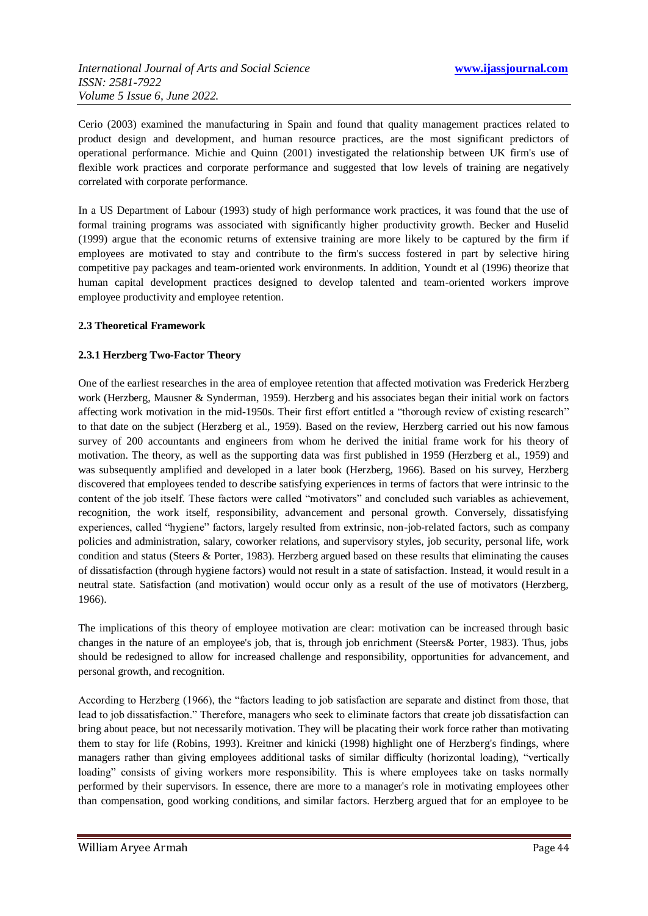Cerio (2003) examined the manufacturing in Spain and found that quality management practices related to product design and development, and human resource practices, are the most significant predictors of operational performance. Michie and Quinn (2001) investigated the relationship between UK firm's use of flexible work practices and corporate performance and suggested that low levels of training are negatively correlated with corporate performance.

In a US Department of Labour (1993) study of high performance work practices, it was found that the use of formal training programs was associated with significantly higher productivity growth. Becker and Huselid (1999) argue that the economic returns of extensive training are more likely to be captured by the firm if employees are motivated to stay and contribute to the firm's success fostered in part by selective hiring competitive pay packages and team-oriented work environments. In addition, Youndt et al (1996) theorize that human capital development practices designed to develop talented and team-oriented workers improve employee productivity and employee retention.

#### **2.3 Theoretical Framework**

#### **2.3.1 Herzberg Two-Factor Theory**

One of the earliest researches in the area of employee retention that affected motivation was Frederick Herzberg work (Herzberg, Mausner & Synderman, 1959). Herzberg and his associates began their initial work on factors affecting work motivation in the mid-1950s. Their first effort entitled a "thorough review of existing research" to that date on the subject (Herzberg et al., 1959). Based on the review, Herzberg carried out his now famous survey of 200 accountants and engineers from whom he derived the initial frame work for his theory of motivation. The theory, as well as the supporting data was first published in 1959 (Herzberg et al., 1959) and was subsequently amplified and developed in a later book (Herzberg, 1966). Based on his survey, Herzberg discovered that employees tended to describe satisfying experiences in terms of factors that were intrinsic to the content of the job itself. These factors were called "motivators" and concluded such variables as achievement, recognition, the work itself, responsibility, advancement and personal growth. Conversely, dissatisfying experiences, called "hygiene" factors, largely resulted from extrinsic, non-job-related factors, such as company policies and administration, salary, coworker relations, and supervisory styles, job security, personal life, work condition and status (Steers & Porter, 1983). Herzberg argued based on these results that eliminating the causes of dissatisfaction (through hygiene factors) would not result in a state of satisfaction. Instead, it would result in a neutral state. Satisfaction (and motivation) would occur only as a result of the use of motivators (Herzberg, 1966).

The implications of this theory of employee motivation are clear: motivation can be increased through basic changes in the nature of an employee's job, that is, through job enrichment (Steers& Porter, 1983). Thus, jobs should be redesigned to allow for increased challenge and responsibility, opportunities for advancement, and personal growth, and recognition.

According to Herzberg (1966), the "factors leading to job satisfaction are separate and distinct from those, that lead to job dissatisfaction." Therefore, managers who seek to eliminate factors that create job dissatisfaction can bring about peace, but not necessarily motivation. They will be placating their work force rather than motivating them to stay for life (Robins, 1993). Kreitner and kinicki (1998) highlight one of Herzberg's findings, where managers rather than giving employees additional tasks of similar difficulty (horizontal loading), "vertically loading" consists of giving workers more responsibility. This is where employees take on tasks normally performed by their supervisors. In essence, there are more to a manager's role in motivating employees other than compensation, good working conditions, and similar factors. Herzberg argued that for an employee to be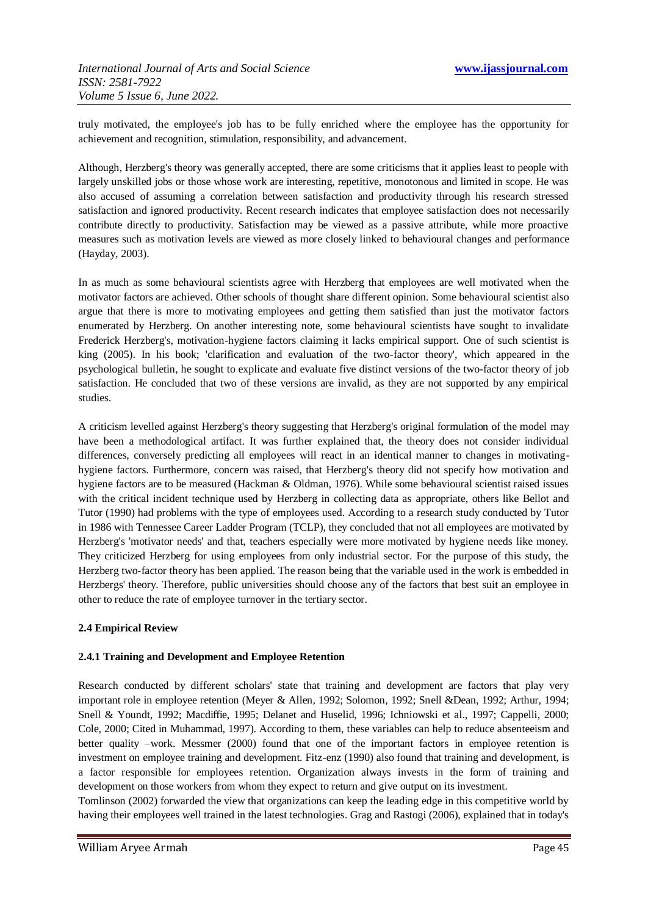truly motivated, the employee's job has to be fully enriched where the employee has the opportunity for achievement and recognition, stimulation, responsibility, and advancement.

Although, Herzberg's theory was generally accepted, there are some criticisms that it applies least to people with largely unskilled jobs or those whose work are interesting, repetitive, monotonous and limited in scope. He was also accused of assuming a correlation between satisfaction and productivity through his research stressed satisfaction and ignored productivity. Recent research indicates that employee satisfaction does not necessarily contribute directly to productivity. Satisfaction may be viewed as a passive attribute, while more proactive measures such as motivation levels are viewed as more closely linked to behavioural changes and performance (Hayday, 2003).

In as much as some behavioural scientists agree with Herzberg that employees are well motivated when the motivator factors are achieved. Other schools of thought share different opinion. Some behavioural scientist also argue that there is more to motivating employees and getting them satisfied than just the motivator factors enumerated by Herzberg. On another interesting note, some behavioural scientists have sought to invalidate Frederick Herzberg's, motivation-hygiene factors claiming it lacks empirical support. One of such scientist is king (2005). In his book; 'clarification and evaluation of the two-factor theory', which appeared in the psychological bulletin, he sought to explicate and evaluate five distinct versions of the two-factor theory of job satisfaction. He concluded that two of these versions are invalid, as they are not supported by any empirical studies.

A criticism levelled against Herzberg's theory suggesting that Herzberg's original formulation of the model may have been a methodological artifact. It was further explained that, the theory does not consider individual differences, conversely predicting all employees will react in an identical manner to changes in motivatinghygiene factors. Furthermore, concern was raised, that Herzberg's theory did not specify how motivation and hygiene factors are to be measured (Hackman & Oldman, 1976). While some behavioural scientist raised issues with the critical incident technique used by Herzberg in collecting data as appropriate, others like Bellot and Tutor (1990) had problems with the type of employees used. According to a research study conducted by Tutor in 1986 with Tennessee Career Ladder Program (TCLP), they concluded that not all employees are motivated by Herzberg's 'motivator needs' and that, teachers especially were more motivated by hygiene needs like money. They criticized Herzberg for using employees from only industrial sector. For the purpose of this study, the Herzberg two-factor theory has been applied. The reason being that the variable used in the work is embedded in Herzbergs' theory. Therefore, public universities should choose any of the factors that best suit an employee in other to reduce the rate of employee turnover in the tertiary sector.

# **2.4 Empirical Review**

#### **2.4.1 Training and Development and Employee Retention**

Research conducted by different scholars' state that training and development are factors that play very important role in employee retention (Meyer & Allen, 1992; Solomon, 1992; Snell &Dean, 1992; Arthur, 1994; Snell & Youndt, 1992; Macdiffie, 1995; Delanet and Huselid, 1996; Ichniowski et al., 1997; Cappelli, 2000; Cole, 2000; Cited in Muhammad, 1997). According to them, these variables can help to reduce absenteeism and better quality –work. Messmer (2000) found that one of the important factors in employee retention is investment on employee training and development. Fitz-enz (1990) also found that training and development, is a factor responsible for employees retention. Organization always invests in the form of training and development on those workers from whom they expect to return and give output on its investment.

Tomlinson (2002) forwarded the view that organizations can keep the leading edge in this competitive world by having their employees well trained in the latest technologies. Grag and Rastogi (2006), explained that in today's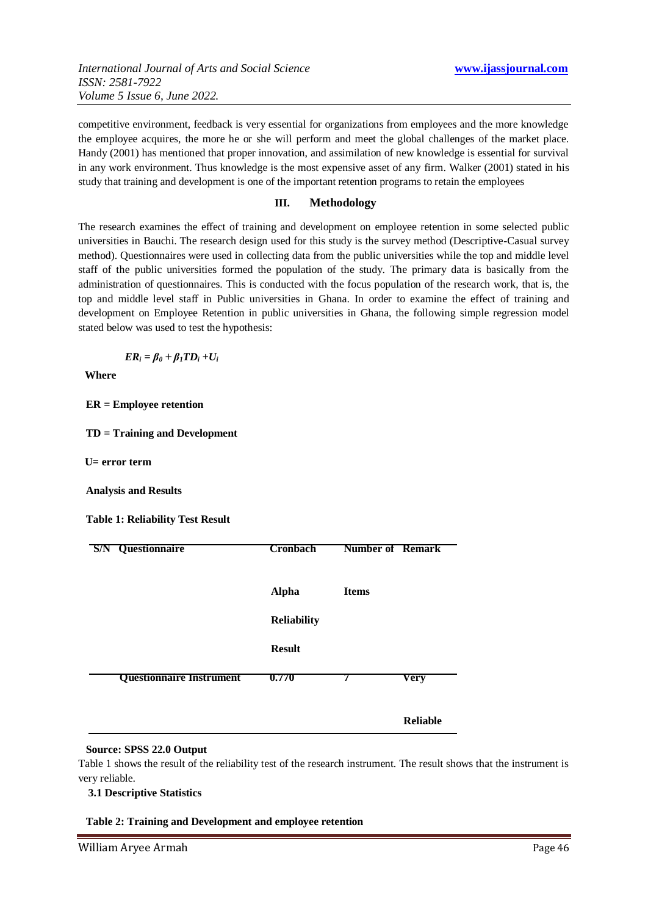competitive environment, feedback is very essential for organizations from employees and the more knowledge the employee acquires, the more he or she will perform and meet the global challenges of the market place. Handy (2001) has mentioned that proper innovation, and assimilation of new knowledge is essential for survival in any work environment. Thus knowledge is the most expensive asset of any firm. Walker (2001) stated in his study that training and development is one of the important retention programs to retain the employees

# **III. Methodology**

The research examines the effect of training and development on employee retention in some selected public universities in Bauchi. The research design used for this study is the survey method (Descriptive-Casual survey method). Questionnaires were used in collecting data from the public universities while the top and middle level staff of the public universities formed the population of the study. The primary data is basically from the administration of questionnaires. This is conducted with the focus population of the research work, that is, the top and middle level staff in Public universities in Ghana. In order to examine the effect of training and development on Employee Retention in public universities in Ghana, the following simple regression model stated below was used to test the hypothesis:

 $ER_i = \beta_0 + \beta_1 TD_i + U_i$ 

**Where**

**ER = Employee retention**

**TD = Training and Development**

**U= error term**

**Analysis and Results**

**Table 1: Reliability Test Result**

| S/N | Questionnaire                   | <b>Cronbach</b>    | <b>Number of Remark</b> |                 |
|-----|---------------------------------|--------------------|-------------------------|-----------------|
|     |                                 | <b>Alpha</b>       | <b>Items</b>            |                 |
|     |                                 | <b>Reliability</b> |                         |                 |
|     |                                 | <b>Result</b>      |                         |                 |
|     | <b>Questionnaire Instrument</b> | 0.770              | 7                       | Very            |
|     |                                 |                    |                         | <b>Reliable</b> |

#### **Source: SPSS 22.0 Output**

Table 1 shows the result of the reliability test of the research instrument. The result shows that the instrument is very reliable.

**3.1 Descriptive Statistics**

**Table 2: Training and Development and employee retention**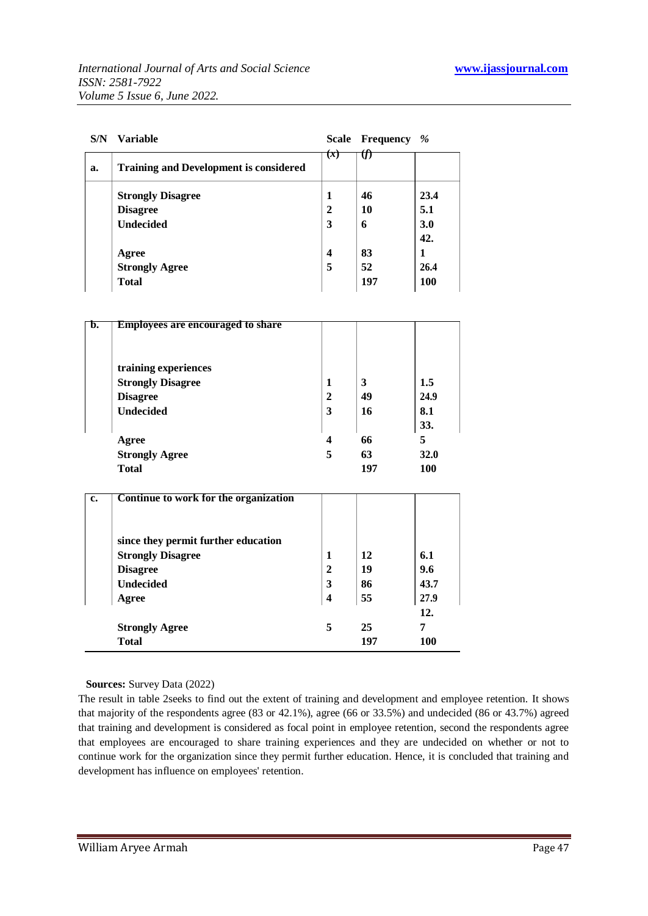| S/N | <b>Variable</b>                               | Scale                   | Frequency | %          |
|-----|-----------------------------------------------|-------------------------|-----------|------------|
| a.  | <b>Training and Development is considered</b> | (x)                     |           |            |
|     | <b>Strongly Disagree</b>                      | 1                       | 46        | 23.4       |
|     | <b>Disagree</b>                               | $\mathbf{2}$            | 10        | 5.1        |
|     | <b>Undecided</b>                              | 3                       | 6         | 3.0        |
|     |                                               |                         |           | 42.        |
|     | Agree                                         | $\overline{\mathbf{4}}$ | 83        | 1          |
|     | <b>Strongly Agree</b>                         | 5                       | 52        | 26.4       |
|     | <b>Total</b>                                  |                         | 197       | <b>100</b> |

| b. | <b>Employees are encouraged to share</b> |             |     |            |
|----|------------------------------------------|-------------|-----|------------|
|    |                                          |             |     |            |
|    | training experiences                     |             |     |            |
|    | <b>Strongly Disagree</b>                 | 1           | 3   | 1.5        |
|    | <b>Disagree</b>                          | $\mathbf 2$ | 49  | 24.9       |
|    | <b>Undecided</b>                         | 3           | 16  | 8.1        |
|    |                                          |             |     | 33.        |
|    | Agree                                    | 4           | 66  | 5          |
|    | <b>Strongly Agree</b>                    | 5           | 63  | 32.0       |
|    | <b>Total</b>                             |             | 197 | <b>100</b> |

| c. | Continue to work for the organization |                |     |            |
|----|---------------------------------------|----------------|-----|------------|
|    | since they permit further education   |                |     |            |
|    | <b>Strongly Disagree</b>              | 1              | 12  | 6.1        |
|    | <b>Disagree</b>                       | $\overline{2}$ | 19  | 9.6        |
|    | <b>Undecided</b>                      | 3              | 86  | 43.7       |
|    | Agree                                 | 4              | 55  | 27.9       |
|    |                                       |                |     | 12.        |
|    | <b>Strongly Agree</b>                 | 5              | 25  | 7          |
|    | <b>Total</b>                          |                | 197 | <b>100</b> |

**Sources:** Survey Data (2022)

The result in table 2seeks to find out the extent of training and development and employee retention. It shows that majority of the respondents agree (83 or 42.1%), agree (66 or 33.5%) and undecided (86 or 43.7%) agreed that training and development is considered as focal point in employee retention, second the respondents agree that employees are encouraged to share training experiences and they are undecided on whether or not to continue work for the organization since they permit further education. Hence, it is concluded that training and development has influence on employees' retention.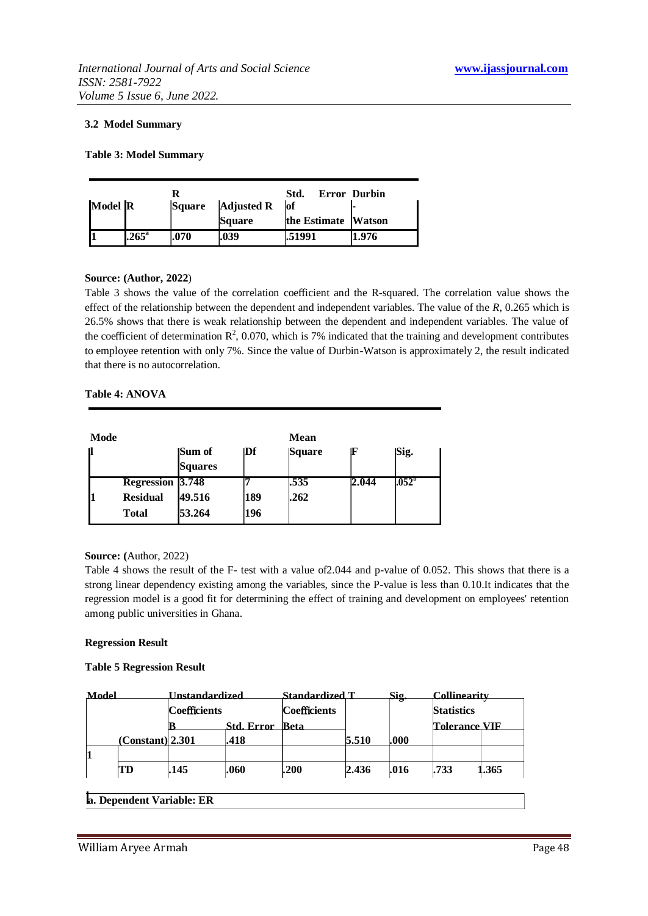#### **3.2 Model Summary**

#### **Table 3: Model Summary**

|         |                |               |                   | Std.                | Error Durbin |
|---------|----------------|---------------|-------------------|---------------------|--------------|
| Model R |                | <b>Square</b> | <b>Adjusted R</b> | lof                 |              |
|         |                |               | <b>Square</b>     | the Estimate Watson |              |
|         | $.265^{\circ}$ | .070          | .039              | 1.51991             | 1.976        |

#### **Source: (Author, 2022**)

Table 3 shows the value of the correlation coefficient and the R-squared. The correlation value shows the effect of the relationship between the dependent and independent variables. The value of the *R*, 0.265 which is 26.5% shows that there is weak relationship between the dependent and independent variables. The value of the coefficient of determination  $\mathbb{R}^2$ , 0.070, which is 7% indicated that the training and development contributes to employee retention with only 7%. Since the value of Durbin-Watson is approximately 2, the result indicated that there is no autocorrelation.

#### **Table 4: ANOVA**

| Mode |                         |                          |           | <b>Mean</b> |       |                 |  |
|------|-------------------------|--------------------------|-----------|-------------|-------|-----------------|--|
| П    |                         | Sum of<br><b>Squares</b> | $\bf{D}f$ | Square      | Æ     | Sig.            |  |
|      | <b>Regression 3.748</b> |                          |           | .535        | 2.044 | $1.052^{\circ}$ |  |
|      | <b>Residual</b>         | 49.516                   | 189       | .262        |       |                 |  |
|      | <b>Total</b>            | 53.264                   | 196       |             |       |                 |  |

#### **Source: (**Author, 2022)

Table 4 shows the result of the F- test with a value of  $2.044$  and p-value of 0.052. This shows that there is a strong linear dependency existing among the variables, since the P-value is less than 0.10.It indicates that the regression model is a good fit for determining the effect of training and development on employees' retention among public universities in Ghana.

#### **Regression Result**

#### **Table 5 Regression Result**

| Model |                         | <u>Unstandardized</u> |      | Standardized T       |       | Sig. | Collinearitv<br><b>Statistics</b> |       |
|-------|-------------------------|-----------------------|------|----------------------|-------|------|-----------------------------------|-------|
|       |                         | <b>Coefficients</b>   |      | Coefficients         |       |      |                                   |       |
|       | <b>Std. Error</b><br>IR |                       | Beta | <b>Tolerance VIF</b> |       |      |                                   |       |
|       | (Constant)  2.301       |                       | .418 |                      | 5.510 | .000 |                                   |       |
|       |                         |                       |      |                      |       |      |                                   |       |
|       | TD                      | .145                  | .060 | .200                 | 2.436 | .016 | .733                              | 1.365 |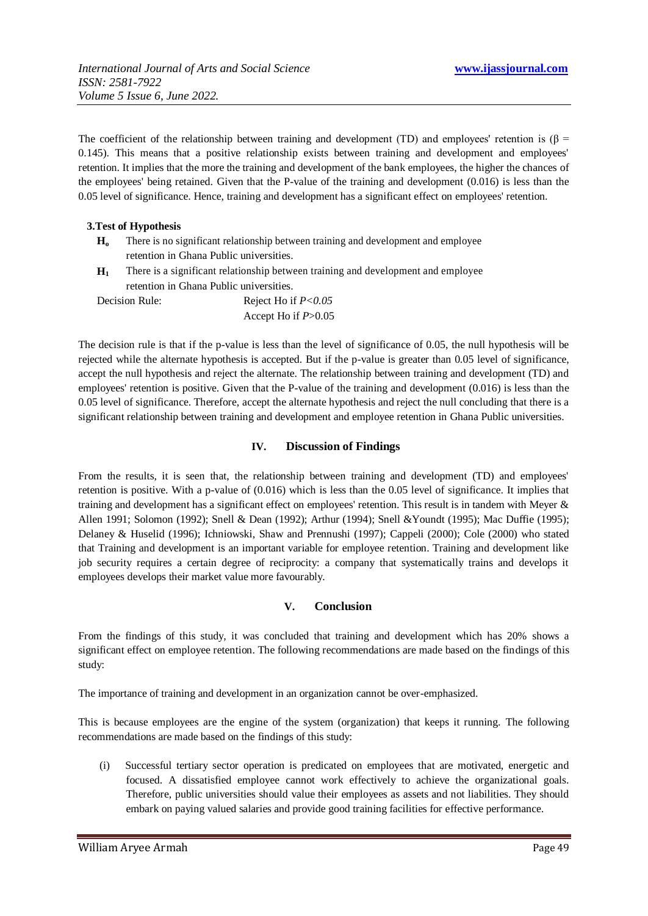The coefficient of the relationship between training and development (TD) and employees' retention is ( $\beta$  = 0.145). This means that a positive relationship exists between training and development and employees' retention. It implies that the more the training and development of the bank employees, the higher the chances of the employees' being retained. Given that the P-value of the training and development (0.016) is less than the 0.05 level of significance. Hence, training and development has a significant effect on employees' retention.

# **3.Test of Hypothesis**

- **H<sup>o</sup>** There is no significant relationship between training and development and employee retention in Ghana Public universities.
- **H<sup>1</sup>** There is a significant relationship between training and development and employee retention in Ghana Public universities.

| Decision Rule: | Reject Ho if $P < 0.05$ |
|----------------|-------------------------|
|                | Accept Ho if $P > 0.05$ |

The decision rule is that if the p-value is less than the level of significance of 0.05, the null hypothesis will be rejected while the alternate hypothesis is accepted. But if the p-value is greater than 0.05 level of significance, accept the null hypothesis and reject the alternate. The relationship between training and development (TD) and employees' retention is positive. Given that the P-value of the training and development (0.016) is less than the 0.05 level of significance. Therefore, accept the alternate hypothesis and reject the null concluding that there is a significant relationship between training and development and employee retention in Ghana Public universities.

# **IV. Discussion of Findings**

From the results, it is seen that, the relationship between training and development (TD) and employees' retention is positive. With a p-value of (0.016) which is less than the 0.05 level of significance. It implies that training and development has a significant effect on employees' retention. This result is in tandem with Meyer & Allen 1991; Solomon (1992); Snell & Dean (1992); Arthur (1994); Snell &Youndt (1995); Mac Duffie (1995); Delaney & Huselid (1996); Ichniowski, Shaw and Prennushi (1997); Cappeli (2000); Cole (2000) who stated that Training and development is an important variable for employee retention. Training and development like job security requires a certain degree of reciprocity: a company that systematically trains and develops it employees develops their market value more favourably.

# **V. Conclusion**

From the findings of this study, it was concluded that training and development which has 20% shows a significant effect on employee retention. The following recommendations are made based on the findings of this study:

The importance of training and development in an organization cannot be over-emphasized.

This is because employees are the engine of the system (organization) that keeps it running. The following recommendations are made based on the findings of this study:

(i) Successful tertiary sector operation is predicated on employees that are motivated, energetic and focused. A dissatisfied employee cannot work effectively to achieve the organizational goals. Therefore, public universities should value their employees as assets and not liabilities. They should embark on paying valued salaries and provide good training facilities for effective performance.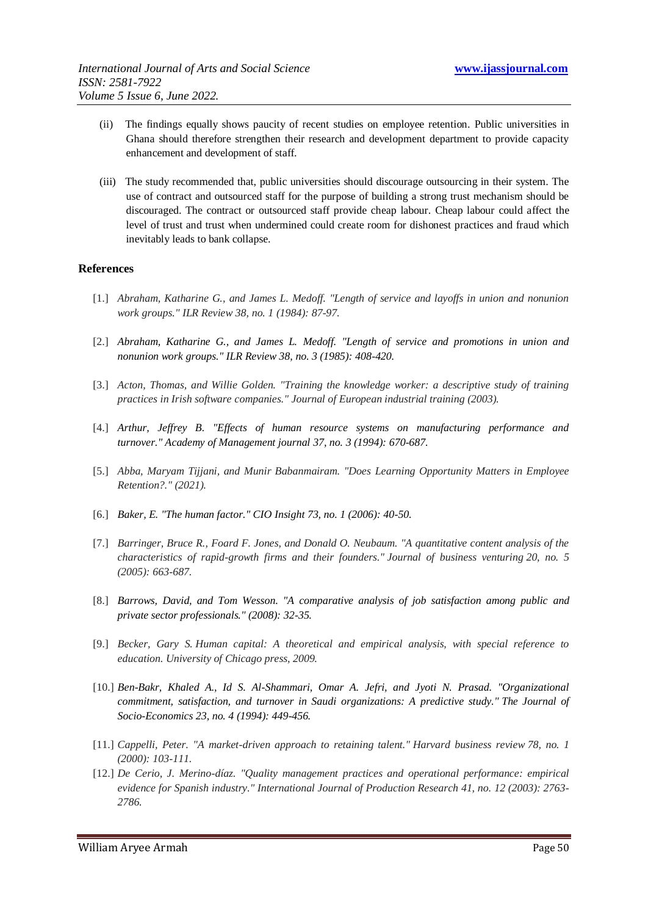- (ii) The findings equally shows paucity of recent studies on employee retention. Public universities in Ghana should therefore strengthen their research and development department to provide capacity enhancement and development of staff.
- (iii) The study recommended that, public universities should discourage outsourcing in their system. The use of contract and outsourced staff for the purpose of building a strong trust mechanism should be discouraged. The contract or outsourced staff provide cheap labour. Cheap labour could affect the level of trust and trust when undermined could create room for dishonest practices and fraud which inevitably leads to bank collapse.

#### **References**

- [1.] *Abraham, Katharine G., and James L. Medoff. "Length of service and layoffs in union and nonunion work groups." ILR Review 38, no. 1 (1984): 87-97.*
- [2.] *Abraham, Katharine G., and James L. Medoff. "Length of service and promotions in union and nonunion work groups." ILR Review 38, no. 3 (1985): 408-420.*
- [3.] *Acton, Thomas, and Willie Golden. "Training the knowledge worker: a descriptive study of training practices in Irish software companies." Journal of European industrial training (2003).*
- [4.] *Arthur, Jeffrey B. "Effects of human resource systems on manufacturing performance and turnover." Academy of Management journal 37, no. 3 (1994): 670-687.*
- [5.] *Abba, Maryam Tijjani, and Munir Babanmairam. "Does Learning Opportunity Matters in Employee Retention?." (2021).*
- [6.] *Baker, E. "The human factor." CIO Insight 73, no. 1 (2006): 40-50.*
- [7.] *Barringer, Bruce R., Foard F. Jones, and Donald O. Neubaum. "A quantitative content analysis of the characteristics of rapid-growth firms and their founders." Journal of business venturing 20, no. 5 (2005): 663-687.*
- [8.] *Barrows, David, and Tom Wesson. "A comparative analysis of job satisfaction among public and private sector professionals." (2008): 32-35.*
- [9.] *Becker, Gary S. Human capital: A theoretical and empirical analysis, with special reference to education. University of Chicago press, 2009.*
- [10.] *Ben-Bakr, Khaled A., Id S. Al-Shammari, Omar A. Jefri, and Jyoti N. Prasad. "Organizational commitment, satisfaction, and turnover in Saudi organizations: A predictive study." The Journal of Socio-Economics 23, no. 4 (1994): 449-456.*
- [11.] *Cappelli, Peter. "A market-driven approach to retaining talent." Harvard business review 78, no. 1 (2000): 103-111.*
- [12.] *De Cerio, J. Merino-díaz. "Quality management practices and operational performance: empirical evidence for Spanish industry." International Journal of Production Research 41, no. 12 (2003): 2763- 2786.*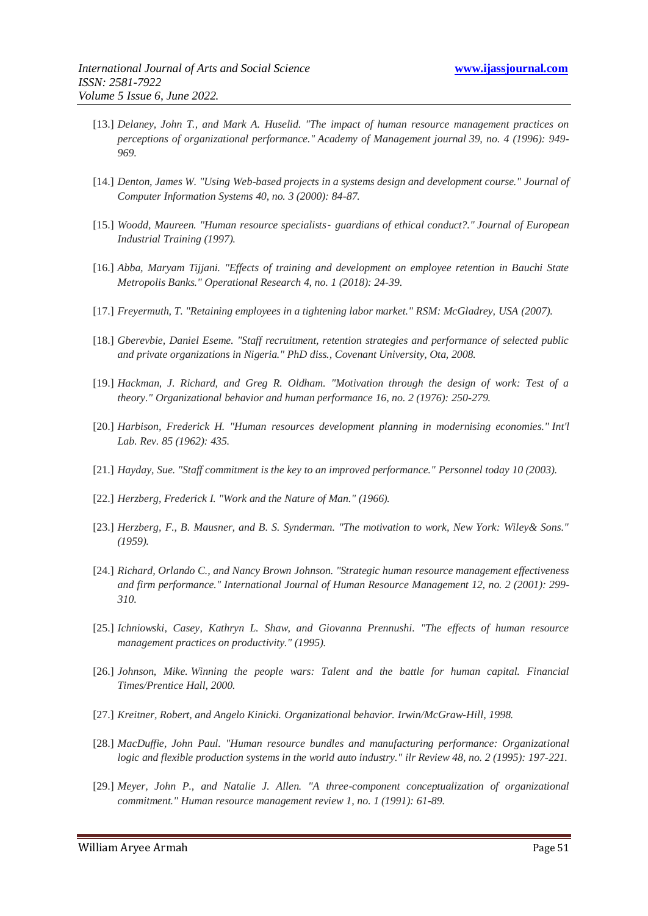- [13.] *Delaney, John T., and Mark A. Huselid. "The impact of human resource management practices on perceptions of organizational performance." Academy of Management journal 39, no. 4 (1996): 949- 969.*
- [14.] *Denton, James W. "Using Web-based projects in a systems design and development course." Journal of Computer Information Systems 40, no. 3 (2000): 84-87.*
- [15.] *Woodd, Maureen. "Human resource specialists*‐ *guardians of ethical conduct?." Journal of European Industrial Training (1997).*
- [16.] *Abba, Maryam Tijjani. "Effects of training and development on employee retention in Bauchi State Metropolis Banks." Operational Research 4, no. 1 (2018): 24-39.*
- [17.] *Freyermuth, T. "Retaining employees in a tightening labor market." RSM: McGladrey, USA (2007).*
- [18.] *Gberevbie, Daniel Eseme. "Staff recruitment, retention strategies and performance of selected public and private organizations in Nigeria." PhD diss., Covenant University, Ota, 2008.*
- [19.] *Hackman, J. Richard, and Greg R. Oldham. "Motivation through the design of work: Test of a theory." Organizational behavior and human performance 16, no. 2 (1976): 250-279.*
- [20.] *Harbison, Frederick H. "Human resources development planning in modernising economies." Int'l Lab. Rev. 85 (1962): 435.*
- [21.] *Hayday, Sue. "Staff commitment is the key to an improved performance." Personnel today 10 (2003).*
- [22.] *Herzberg, Frederick I. "Work and the Nature of Man." (1966).*
- [23.] *Herzberg, F., B. Mausner, and B. S. Synderman. "The motivation to work, New York: Wiley& Sons." (1959).*
- [24.] *Richard, Orlando C., and Nancy Brown Johnson. "Strategic human resource management effectiveness and firm performance." International Journal of Human Resource Management 12, no. 2 (2001): 299- 310.*
- [25.] *Ichniowski, Casey, Kathryn L. Shaw, and Giovanna Prennushi. "The effects of human resource management practices on productivity." (1995).*
- [26.] *Johnson, Mike. Winning the people wars: Talent and the battle for human capital. Financial Times/Prentice Hall, 2000.*
- [27.] *Kreitner, Robert, and Angelo Kinicki. Organizational behavior. Irwin/McGraw-Hill, 1998.*
- [28.] *MacDuffie, John Paul. "Human resource bundles and manufacturing performance: Organizational logic and flexible production systems in the world auto industry." ilr Review 48, no. 2 (1995): 197-221.*
- [29.] *Meyer, John P., and Natalie J. Allen. "A three-component conceptualization of organizational commitment." Human resource management review 1, no. 1 (1991): 61-89.*